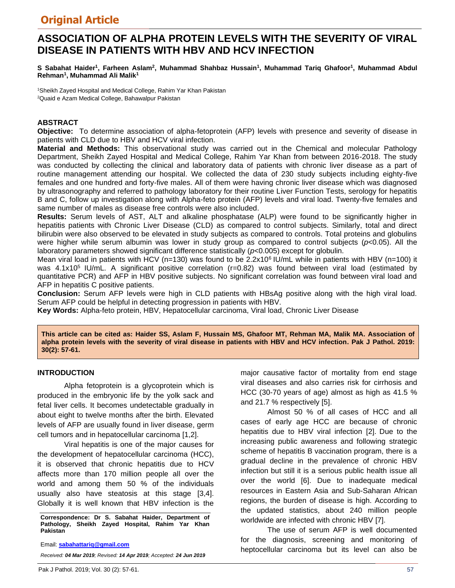# **ASSOCIATION OF ALPHA PROTEIN LEVELS WITH THE SEVERITY OF VIRAL DISEASE IN PATIENTS WITH HBV AND HCV INFECTION**

**S Sabahat Haider<sup>1</sup> , Farheen Aslam<sup>2</sup> , Muhammad Shahbaz Hussain<sup>1</sup> , Muhammad Tariq Ghafoor<sup>1</sup> , Muhammad Abdul Rehman<sup>1</sup> , Muhammad Ali Malik<sup>1</sup>**

<sup>1</sup>Sheikh Zayed Hospital and Medical College, Rahim Yar Khan Pakistan <sup>2</sup>Quaid e Azam Medical College, Bahawalpur Pakistan

### **ABSTRACT**

**Objective:** To determine association of alpha-fetoprotein (AFP) levels with presence and severity of disease in patients with CLD due to HBV and HCV viral infection.

**Material and Methods:** This observational study was carried out in the Chemical and molecular Pathology Department, Sheikh Zayed Hospital and Medical College, Rahim Yar Khan from between 2016-2018. The study was conducted by collecting the clinical and laboratory data of patients with chronic liver disease as a part of routine management attending our hospital. We collected the data of 230 study subjects including eighty-five females and one hundred and forty-five males. All of them were having chronic liver disease which was diagnosed by ultrasonography and referred to pathology laboratory for their routine Liver Function Tests, serology for hepatitis B and C, follow up investigation along with Alpha-feto protein (AFP) levels and viral load. Twenty-five females and same number of males as disease free controls were also included.

**Results:** Serum levels of AST, ALT and alkaline phosphatase (ALP) were found to be significantly higher in hepatitis patients with Chronic Liver Disease (CLD) as compared to control subjects. Similarly, total and direct bilirubin were also observed to be elevated in study subjects as compared to controls. Total proteins and globulins were higher while serum albumin was lower in study group as compared to control subjects (*p*<0.05). All the laboratory parameters showed significant difference statistically (*p*<0.005) except for globulin.

Mean viral load in patients with HCV (n=130) was found to be  $2.2x10<sup>6</sup>$  IU/mL while in patients with HBV (n=100) it was  $4.1x10<sup>5</sup>$  IU/mL. A significant positive correlation (r=0.82) was found between viral load (estimated by quantitative PCR) and AFP in HBV positive subjects. No significant correlation was found between viral load and AFP in hepatitis C positive patients.

**Conclusion:** Serum AFP levels were high in CLD patients with HBsAg positive along with the high viral load. Serum AFP could be helpful in detecting progression in patients with HBV.

**Key Words:** Alpha-feto protein, HBV, Hepatocellular carcinoma, Viral load, Chronic Liver Disease

**This article can be cited as: Haider SS, Aslam F, Hussain MS, Ghafoor MT, Rehman MA, Malik MA. Association of alpha protein levels with the severity of viral disease in patients with HBV and HCV infection. Pak J Pathol. 2019: 30(2): 57-61.**

#### **INTRODUCTION**

Alpha fetoprotein is a glycoprotein which is produced in the embryonic life by the yolk sack and fetal liver cells. It becomes undetectable gradually in about eight to twelve months after the birth. Elevated levels of AFP are usually found in liver disease, germ cell tumors and in hepatocellular carcinoma [1,2].

Viral hepatitis is one of the major causes for the development of hepatocellular carcinoma (HCC), it is observed that chronic hepatitis due to HCV affects more than 170 million people all over the world and among them 50 % of the individuals usually also have steatosis at this stage [3,4]. Globally it is well known that HBV infection is the

**Correspondence: Dr S. Sabahat Haider, Department of Pathology, Sheikh Zayed Hospital, Rahim Yar Khan Pakistan** 

Email: **sabahattariq@gmail.com**

*Received: 04 Mar 2019; Revised: 14 Apr 2019; Accepted: 24 Jun 2019*

major causative factor of mortality from end stage viral diseases and also carries risk for cirrhosis and HCC (30-70 years of age) almost as high as 41.5 % and 21.7 % respectively [5].

Almost 50 % of all cases of HCC and all cases of early age HCC are because of chronic hepatitis due to HBV viral infection [2]. Due to the increasing public awareness and following strategic scheme of hepatitis B vaccination program, there is a gradual decline in the prevalence of chronic HBV infection but still it is a serious public health issue all over the world [6]. Due to inadequate medical resources in Eastern Asia and Sub-Saharan African regions, the burden of disease is high. According to the updated statistics, about 240 million people worldwide are infected with chronic HBV [7].

The use of serum AFP is well documented for the diagnosis, screening and monitoring of heptocellular carcinoma but its level can also be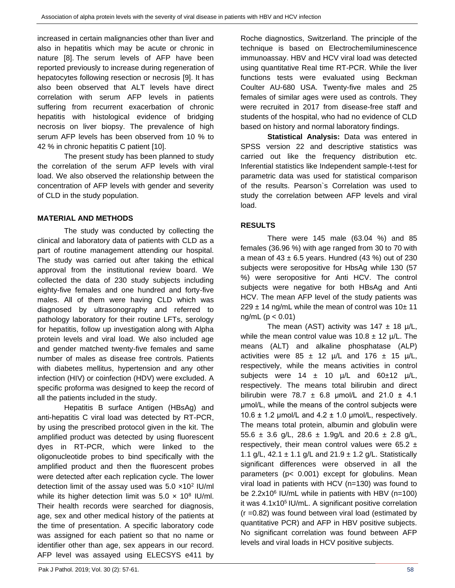increased in certain malignancies other than liver and also in hepatitis which may be acute or chronic in nature [8]. The serum levels of AFP have been reported previously to increase during regeneration of hepatocytes following resection or necrosis [9]. It has also been observed that ALT levels have direct correlation with serum AFP levels in patients suffering from recurrent exacerbation of chronic hepatitis with histological evidence of bridging necrosis on liver biopsy. The prevalence of high serum AFP levels has been observed from 10 % to 42 % in chronic hepatitis C patient [10].

The present study has been planned to study the correlation of the serum AFP levels with viral load. We also observed the relationship between the concentration of AFP levels with gender and severity of CLD in the study population.

### **MATERIAL AND METHODS**

The study was conducted by collecting the clinical and laboratory data of patients with CLD as a part of routine management attending our hospital. The study was carried out after taking the ethical approval from the institutional review board. We collected the data of 230 study subjects including eighty-five females and one hundred and forty-five males. All of them were having CLD which was diagnosed by ultrasonography and referred to pathology laboratory for their routine LFTs, serology for hepatitis, follow up investigation along with Alpha protein levels and viral load. We also included age and gender matched twenty-five females and same number of males as disease free controls. Patients with diabetes mellitus, hypertension and any other infection (HIV) or coinfection (HDV) were excluded. A specific proforma was designed to keep the record of all the patients included in the study.

Hepatitis B surface Antigen (HBsAg) and anti-hepatitis C viral load was detected by RT-PCR, by using the prescribed protocol given in the kit. The amplified product was detected by using fluorescent dyes in RT-PCR, which were linked to the oligonucleotide probes to bind specifically with the amplified product and then the fluorescent probes were detected after each replication cycle. The lower detection limit of the assay used was  $5.0 \times 10^2$  IU/ml while its higher detection limit was  $5.0 \times 10^8$  IU/ml. Their health records were searched for diagnosis, age, sex and other medical history of the patients at the time of presentation. A specific laboratory code was assigned for each patient so that no name or identifier other than age, sex appears in our record. AFP level was assayed using ELECSYS e411 by

Roche diagnostics, Switzerland. The principle of the technique is based on Electrochemiluminescence immunoassay. HBV and HCV viral load was detected using quantitative Real time RT-PCR. While the liver functions tests were evaluated using Beckman Coulter AU-680 USA. Twenty-five males and 25 females of similar ages were used as controls. They were recruited in 2017 from disease-free staff and students of the hospital, who had no evidence of CLD based on history and normal laboratory findings.

**Statistical Analysis:** Data was entered in SPSS version 22 and descriptive statistics was carried out like the frequency distribution etc. Inferential statistics like Independent sample-t-test for parametric data was used for statistical comparison of the results. Pearson`s Correlation was used to study the correlation between AFP levels and viral load.

## **RESULTS**

There were 145 male (63.04 %) and 85 females (36.96 %) with age ranged from 30 to 70 with a mean of  $43 \pm 6.5$  years. Hundred (43 %) out of 230 subjects were seropositive for HbsAg while 130 (57 %) were seropositive for Anti HCV. The control subjects were negative for both HBsAg and Anti HCV. The mean AFP level of the study patients was  $229 \pm 14$  ng/mL while the mean of control was  $10 \pm 11$  $ng/mL (p < 0.01)$ 

The mean (AST) activity was  $147 \pm 18$  µ/L, while the mean control value was  $10.8 \pm 12$  µ/L. The means (ALT) and alkaline phosphatase (ALP) activities were  $85 \pm 12$  µ/L and  $176 \pm 15$  µ/L, respectively, while the means activities in control subjects were  $14 \pm 10$   $\mu/L$  and  $60\pm 12$   $\mu/L$ , respectively. The means total bilirubin and direct bilirubin were 78.7  $\pm$  6.8 µmol/L and 21.0  $\pm$  4.1 μmol/L, while the means of the control subjects were 10.6  $\pm$  1.2 µmol/L and 4.2  $\pm$  1.0 µmol/L, respectively. The means total protein, albumin and globulin were 55.6  $\pm$  3.6 g/L, 28.6  $\pm$  1.9g/L and 20.6  $\pm$  2.8 g/L, respectively, their mean control values were 65.2  $\pm$ 1.1 g/L,  $42.1 \pm 1.1$  g/L and  $21.9 \pm 1.2$  g/L. Statistically significant differences were observed in all the parameters (p< 0.001) except for globulins. Mean viral load in patients with HCV (n=130) was found to be 2.2x10<sup>6</sup> IU/mL while in patients with HBV (n=100) it was 4.1x10<sup>5</sup> IU/mL. A significant positive correlation  $(r = 0.82)$  was found between viral load (estimated by quantitative PCR) and AFP in HBV positive subjects. No significant correlation was found between AFP levels and viral loads in HCV positive subjects.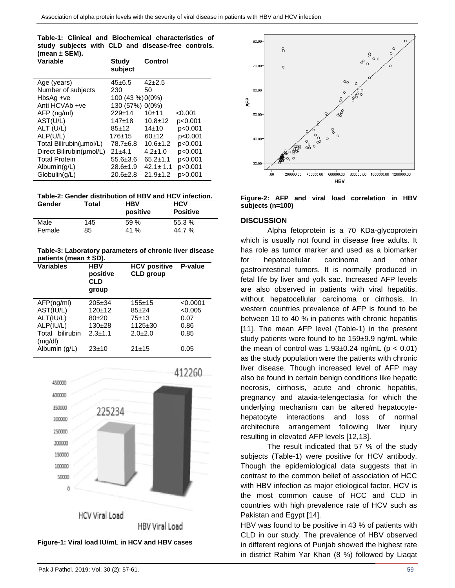| Table-1: Clinical and Biochemical characteristics of |  |  |  |  |
|------------------------------------------------------|--|--|--|--|
| study subjects with CLD and disease-free controls.   |  |  |  |  |
| (mean $\pm$ SEM).                                    |  |  |  |  |

| Variable                 | Study<br>subject | Control        |         |
|--------------------------|------------------|----------------|---------|
| Age (years)              | $45 \pm 6.5$     | $42 + 2.5$     |         |
| Number of subjects       | 230              | 50             |         |
| HbsAg +ve                | 100 (43 %) 0(0%) |                |         |
| Anti HCVAb +ve           | 130 (57%) 0(0%)  |                |         |
| AFP (ng/ml)              | $229+14$         | $10+11$        | < 0.001 |
| AST(U/L)                 | $147 + 18$       | $10.8 + 12$    | p<0.001 |
| ALT (U/L)                | $85+12$          | 14±10          | p<0.001 |
| ALP(U/L)                 | $176 + 15$       | $60+12$        | p<0.001 |
| Total Bilirubin(umol/L)  | 78.7±6.8         | $10.6 \pm 1.2$ | p<0.001 |
| Direct Bilirubin(umol/L) | 21±4.1           | $4.2 \pm 1.0$  | p<0.001 |
| <b>Total Protein</b>     | $55.6 \pm 3.6$   | $65.2 \pm 1.1$ | p<0.001 |
| $\mathsf{Albumin}(g/L)$  | $28.6 \pm 1.9$   | $42.1 \pm 1.1$ | p<0.001 |
| Globulin(q/L)            | $20.6 \pm 2.8$   | $21.9 \pm 1.2$ | p>0.001 |

**Table-2: Gender distribution of HBV and HCV infection.**

| Gender | Total | HBV<br>positive | <b>HCV</b><br><b>Positive</b> |
|--------|-------|-----------------|-------------------------------|
| Male   | 145   | 59 %            | 55.3%                         |
| Female | 85    | 41 %            | 44.7%                         |

**Table-3: Laboratory parameters of chronic liver disease patients (mean ± SD).**

| <b>Variables</b>           | <b>HBV</b><br>positive<br>CLD<br>group | <b>HCV positive</b><br><b>CLD</b> group | P-value  |
|----------------------------|----------------------------------------|-----------------------------------------|----------|
| AFP(ng/ml)                 | $205 \pm 34$                           | $155 + 15$                              | < 0.0001 |
| AST(IU/L)                  | $120+12$                               | $85 + 24$                               | < 0.005  |
| ALT(IU/L)                  | $80+20$                                | $75 + 13$                               | 0.07     |
| ALP(IU/L)                  | $130+28$                               | $1125 \pm 30$                           | 0.86     |
| Total bilirubin<br>(mq/dl) | $2.3 + 1.1$                            | $2.0 \pm 2.0$                           | 0.85     |
| Albumin (g/L)              | $23+10$                                | $21 + 15$                               | 0.05     |





**Figure-2: AFP and viral load correlation in HBV subjects (n=100)**

#### **DISCUSSION**

Alpha fetoprotein is a 70 KDa-glycoprotein which is usually not found in disease free adults. It has role as tumor marker and used as a biomarker for hepatocellular carcinoma and other gastrointestinal tumors. It is normally produced in fetal life by liver and yolk sac. Increased AFP levels are also observed in patients with viral hepatitis, without hepatocellular carcinoma or cirrhosis. In western countries prevalence of AFP is found to be between 10 to 40 % in patients with chronic hepatitis [11]. The mean AFP level (Table-1) in the present study patients were found to be 159±9.9 ng/mL while the mean of control was  $1.93\pm0.24$  ng/mL ( $p < 0.01$ ) as the study population were the patients with chronic liver disease. Though increased level of AFP may also be found in certain benign conditions like hepatic necrosis, cirrhosis, acute and chronic hepatitis, pregnancy and ataxia-telengectasia for which the underlying mechanism can be altered hepatocytehepatocyte interactions and loss of normal architecture arrangement following liver injury resulting in elevated AFP levels [12,13].

The result indicated that 57 % of the study subjects (Table-1) were positive for HCV antibody. Though the epidemiological data suggests that in contrast to the common belief of association of HCC with HBV infection as major etiological factor, HCV is the most common cause of HCC and CLD in countries with high prevalence rate of HCV such as Pakistan and Egypt [14].

HBV was found to be positive in 43 % of patients with CLD in our study. The prevalence of HBV observed in different regions of Punjab showed the highest rate in district Rahim Yar Khan (8 %) followed by Liaqat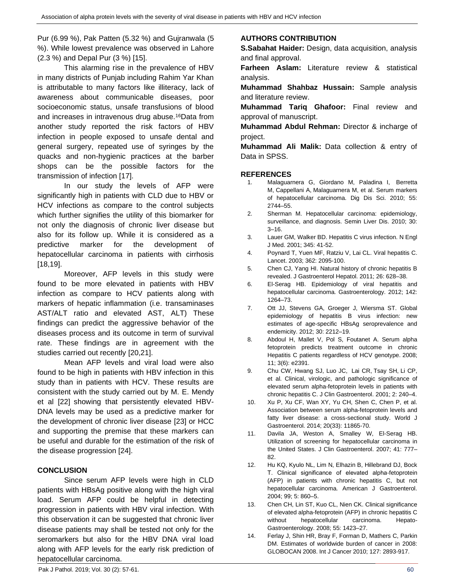Pur (6.99 %), Pak Patten (5.32 %) and Gujranwala (5 %). While lowest prevalence was observed in Lahore (2.3 %) and Depal Pur (3 %) [15].

This alarming rise in the prevalence of HBV in many districts of Punjab including Rahim Yar Khan is attributable to many factors like illiteracy, lack of awareness about communicable diseases, poor socioeconomic status, unsafe transfusions of blood and increases in intravenous drug abuse.<sup>16</sup>Data from another study reported the risk factors of HBV infection in people exposed to unsafe dental and general surgery, repeated use of syringes by the quacks and non-hygienic practices at the barber shops can be the possible factors for the transmission of infection [17].

In our study the levels of AFP were significantly high in patients with CLD due to HBV or HCV infections as compare to the control subjects which further signifies the utility of this biomarker for not only the diagnosis of chronic liver disease but also for its follow up. While it is considered as a predictive marker for the development of hepatocellular carcinoma in patients with cirrhosis [18,19].

Moreover, AFP levels in this study were found to be more elevated in patients with HBV infection as compare to HCV patients along with markers of hepatic inflammation (i.e. transaminases AST/ALT ratio and elevated AST, ALT) These findings can predict the aggressive behavior of the diseases process and its outcome in term of survival rate. These findings are in agreement with the studies carried out recently [20,21].

Mean AFP levels and viral load were also found to be high in patients with HBV infection in this study than in patients with HCV. These results are consistent with the study carried out by M. E. Mendy et al [22] showing that persistently elevated HBV-DNA levels may be used as a predictive marker for the development of chronic liver disease [23] or HCC and supporting the premise that these markers can be useful and durable for the estimation of the risk of the disease progression [24].

### **CONCLUSION**

Since serum AFP levels were high in CLD patients with HBsAg positive along with the high viral load. Serum AFP could be helpful in detecting progression in patients with HBV viral infection. With this observation it can be suggested that chronic liver disease patients may shall be tested not only for the seromarkers but also for the HBV DNA viral load along with AFP levels for the early risk prediction of hepatocellular carcinoma.

# **AUTHORS CONTRIBUTION**

**S.Sabahat Haider:** Design, data acquisition, analysis and final approval.

**Farheen Aslam:** Literature review & statistical analysis.

**Muhammad Shahbaz Hussain:** Sample analysis and literature review.

**Muhammad Tariq Ghafoor:** Final review and approval of manuscript.

**Muhammad Abdul Rehman:** Director & incharge of project.

**Muhammad Ali Malik:** Data collection & entry of Data in SPSS.

#### **REFERENCES**

- 1. Malaguarnera G, Giordano M, Paladina I, [Berretta](https://www.ncbi.nlm.nih.gov/pubmed/?term=Berretta%20M%5BAuthor%5D&cauthor=true&cauthor_uid=20339916)  [M,](https://www.ncbi.nlm.nih.gov/pubmed/?term=Berretta%20M%5BAuthor%5D&cauthor=true&cauthor_uid=20339916) [Cappellani A,](https://www.ncbi.nlm.nih.gov/pubmed/?term=Cappellani%20A%5BAuthor%5D&cauthor=true&cauthor_uid=20339916) [Malaguarnera M,](https://www.ncbi.nlm.nih.gov/pubmed/?term=Malaguarnera%20M%5BAuthor%5D&cauthor=true&cauthor_uid=20339916) et al. Serum markers of hepatocellular carcinoma. Dig Dis Sci. 2010; 55: 2744–55.
- 2. Sherman M. Hepatocellular carcinoma: epidemiology, surveillance, and diagnosis. Semin Liver Dis. 2010; 30: 3–16.
- 3. Lauer GM, Walker BD. Hepatitis C virus infection. N Engl J Med. 2001; 345: 41-52.
- 4. Poynard T, Yuen MF, Ratziu V[, Lai CL.](https://www.ncbi.nlm.nih.gov/pubmed/?term=Lai%20CL%5BAuthor%5D&cauthor=true&cauthor_uid=14697814) Viral hepatitis C. Lancet. 2003; 362: 2095-100.
- 5. Chen CJ, Yang HI. Natural history of chronic hepatitis B revealed. J Gastroenterol Hepatol. 2011; 26: 628–38.
- 6. El-Serag HB. Epidemiology of viral hepatitis and hepatocellular carcinoma. Gastroenterology. 2012; 142: 1264–73.
- 7. Ott JJ, Stevens GA, Groeger J, Wiersma ST. Global epidemiology of hepatitis B virus infection: new estimates of age-specific HBsAg seroprevalence and endemicity. 2012; 30: 2212–19.
- 8. Abdoul H, Mallet V, Pol S, Foutanet A. Serum alpha fetoprotein predicts treatment outcome in chronic Hepatitis C patients regardless of HCV genotype. 2008; 11; 3(6): e2391.
- 9. Chu CW, Hwang SJ, Luo JC, [Lai CR,](https://www.ncbi.nlm.nih.gov/pubmed/?term=Lai%20CR%5BAuthor%5D&cauthor=true&cauthor_uid=11246354) [Tsay SH,](https://www.ncbi.nlm.nih.gov/pubmed/?term=Tsay%20SH%5BAuthor%5D&cauthor=true&cauthor_uid=11246354) [Li CP,](https://www.ncbi.nlm.nih.gov/pubmed/?term=Li%20CP%5BAuthor%5D&cauthor=true&cauthor_uid=11246354)  et al. Clinical, virologic, and pathologic significance of elevated serum alpha-fetoprotein levels in patients with chronic hepatitis C. J Clin Gastroenterol. 2001; 2: 240–4.
- 10. Xu P, Xu CF, Wan XY, Yu CH, Shen C, Chen P, et al. Association between serum alpha-fetoprotein levels and fatty liver disease: a cross-sectional study. World J Gastroenterol. 2014; 20(33): 11865-70.
- 11. Davila JA, Weston A, Smalley W, [El-Serag HB.](https://www.ncbi.nlm.nih.gov/pubmed/?term=El-Serag%20HB%5BAuthor%5D&cauthor=true&cauthor_uid=17700427)  Utilization of screening for hepatocellular carcinoma in the United States. J Clin Gastroenterol. 2007; 41: 777– 82.
- 12. Hu KQ, Kyulo NL, Lim N, Elhazin B, Hillebrand DJ, Bock T. Clinical significance of elevated alpha-fetoprotein (AFP) in patients with chronic hepatitis C, but not hepatocellular carcinoma. American J Gastroenterol. 2004; 99; 5: 860–5.
- 13. Chen CH, Lin ST, Kuo CL, Nien CK. Clinical significance of elevated alpha-fetoprotein (AFP) in chronic hepatitis C without hepatocellular carcinoma. Hepato-Gastroenterology. 2008; 55: 1423–27.
- 14. Ferlay J, Shin HR, Bray F, Forman D, Mathers C, Parkin DM. Estimates of worldwide burden of cancer in 2008: GLOBOCAN 2008. Int J Cancer 2010; 127: 2893-917.